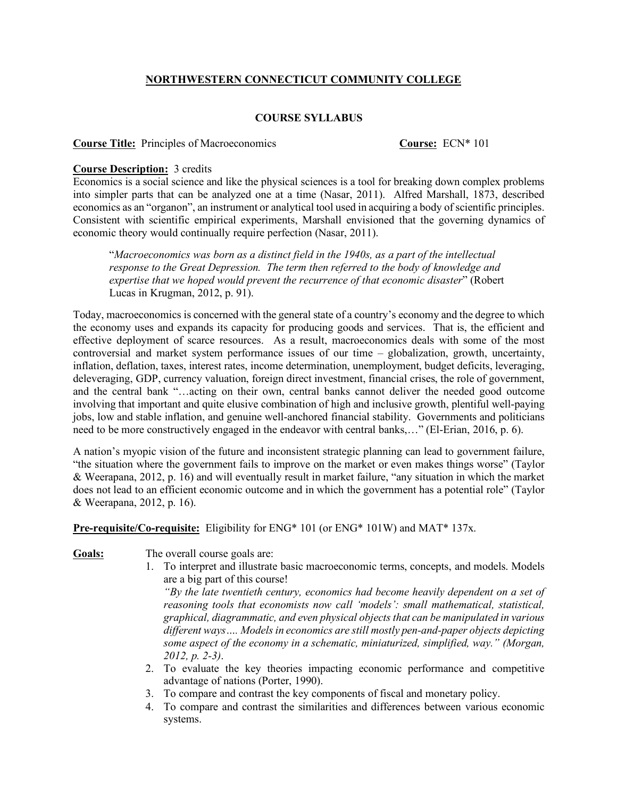# **NORTHWESTERN CONNECTICUT COMMUNITY COLLEGE**

## **COURSE SYLLABUS**

### **Course Title:** Principles of Macroeconomics **Course:** ECN\* 101

### **Course Description:** 3 credits

Economics is a social science and like the physical sciences is a tool for breaking down complex problems into simpler parts that can be analyzed one at a time (Nasar, 2011). Alfred Marshall, 1873, described economics as an "organon", an instrument or analytical tool used in acquiring a body of scientific principles. Consistent with scientific empirical experiments, Marshall envisioned that the governing dynamics of economic theory would continually require perfection (Nasar, 2011).

"*Macroeconomics was born as a distinct field in the 1940s, as a part of the intellectual response to the Great Depression. The term then referred to the body of knowledge and expertise that we hoped would prevent the recurrence of that economic disaster*" (Robert Lucas in Krugman, 2012, p. 91).

Today, macroeconomics is concerned with the general state of a country's economy and the degree to which the economy uses and expands its capacity for producing goods and services. That is, the efficient and effective deployment of scarce resources. As a result, macroeconomics deals with some of the most controversial and market system performance issues of our time – globalization, growth, uncertainty, inflation, deflation, taxes, interest rates, income determination, unemployment, budget deficits, leveraging, deleveraging, GDP, currency valuation, foreign direct investment, financial crises, the role of government, and the central bank "…acting on their own, central banks cannot deliver the needed good outcome involving that important and quite elusive combination of high and inclusive growth, plentiful well-paying jobs, low and stable inflation, and genuine well-anchored financial stability. Governments and politicians need to be more constructively engaged in the endeavor with central banks,…" (El-Erian, 2016, p. 6).

A nation's myopic vision of the future and inconsistent strategic planning can lead to government failure, "the situation where the government fails to improve on the market or even makes things worse" (Taylor & Weerapana, 2012, p. 16) and will eventually result in market failure, "any situation in which the market does not lead to an efficient economic outcome and in which the government has a potential role" (Taylor & Weerapana, 2012, p. 16).

**Pre-requisite/Co-requisite:** Eligibility for ENG\* 101 (or ENG\* 101W) and MAT\* 137x.

Goals: The overall course goals are:

1. To interpret and illustrate basic macroeconomic terms, concepts, and models. Models are a big part of this course!

*"By the late twentieth century, economics had become heavily dependent on a set of reasoning tools that economists now call 'models': small mathematical, statistical, graphical, diagrammatic, and even physical objects that can be manipulated in various different ways…. Models in economics are still mostly pen-and-paper objects depicting some aspect of the economy in a schematic, miniaturized, simplified, way." (Morgan, 2012, p. 2-3)*.

- 2. To evaluate the key theories impacting economic performance and competitive advantage of nations (Porter, 1990).
- 3. To compare and contrast the key components of fiscal and monetary policy.
- 4. To compare and contrast the similarities and differences between various economic systems.